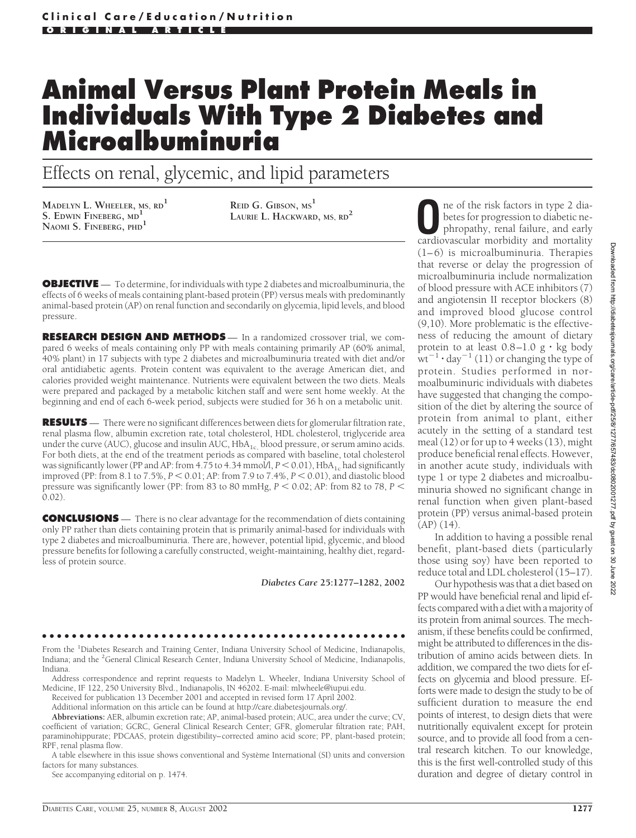# **Animal Versus Plant Protein Meals in Individuals With Type 2 Diabetes and Microalbuminuria**

Effects on renal, glycemic, and lipid parameters

**MADELYN L. WHEELER, MS, RD1 S. EDWIN FINEBERG, MD<sup>1</sup> NAOMI S. FINEBERG, PHD<sup>1</sup>**

**REID G. GIBSON, MS<sup>1</sup> LAURIE L. HACKWARD, MS, RD<sup>2</sup>**

**OBJECTIVE** — To determine, for individuals with type 2 diabetes and microalbuminuria, the effects of 6 weeks of meals containing plant-based protein (PP) versus meals with predominantly animal-based protein (AP) on renal function and secondarily on glycemia, lipid levels, and blood pressure.

**RESEARCH DESIGN AND METHODS** — In a randomized crossover trial, we compared 6 weeks of meals containing only PP with meals containing primarily AP (60% animal, 40% plant) in 17 subjects with type 2 diabetes and microalbuminuria treated with diet and/or oral antidiabetic agents. Protein content was equivalent to the average American diet, and calories provided weight maintenance. Nutrients were equivalent between the two diets. Meals were prepared and packaged by a metabolic kitchen staff and were sent home weekly. At the beginning and end of each 6-week period, subjects were studied for 36 h on a metabolic unit.

**RESULTS** — There were no significant differences between diets for glomerular filtration rate, renal plasma flow, albumin excretion rate, total cholesterol, HDL cholesterol, triglyceride area under the curve (AUC), glucose and insulin AUC,  $HbA_{1c}$ , blood pressure, or serum amino acids. For both diets, at the end of the treatment periods as compared with baseline, total cholesterol was significantly lower (PP and AP: from 4.75 to 4.34 mmol/l,  $P \le 0.01$ ), HbA<sub>1c</sub> had significantly improved (PP: from 8.1 to 7.5%,  $P < 0.01$ ; AP: from 7.9 to 7.4%,  $P < 0.01$ ), and diastolic blood pressure was significantly lower (PP: from 83 to 80 mmHg,  $P < 0.02$ ; AP: from 82 to 78,  $P <$ 0.02).

**CONCLUSIONS** — There is no clear advantage for the recommendation of diets containing only PP rather than diets containing protein that is primarily animal-based for individuals with type 2 diabetes and microalbuminuria. There are, however, potential lipid, glycemic, and blood pressure benefits for following a carefully constructed, weight-maintaining, healthy diet, regardless of protein source.

*Diabetes Care* **25:1277–1282, 2002**

# ●●●●●●●●●●●●●●●●●●●●●●●●●●●●●●●●●●●●●●●●●●●●●●●●●

From the <sup>1</sup>Diabetes Research and Training Center, Indiana University School of Medicine, Indianapolis, Indiana; and the <sup>2</sup>General Clinical Research Center, Indiana University School of Medicine, Indianapolis, Indiana.

Address correspondence and reprint requests to Madelyn L. Wheeler, Indiana University School of Medicine, IF 122, 250 University Blvd., Indianapolis, IN 46202. E-mail: mlwheele@iupui.edu.

Received for publication 13 December 2001 and accepted in revised form 17 April 2002.

Additional information on this article can be found at http://care.diabetesjournals.org/.

**Abbreviations:** AER, albumin excretion rate; AP, animal-based protein; AUC, area under the curve; CV, coefficient of variation; GCRC, General Clinical Research Center; GFR, glomerular filtration rate; PAH, paraminohippurate; PDCAAS, protein digestibility–corrected amino acid score; PP, plant-based protein; RPF, renal plasma flow.

A table elsewhere in this issue shows conventional and Système International (SI) units and conversion factors for many substances.

See accompanying editorial on p. 1474.

ne of the risk factors in type 2 diabetes for progression to diabetic nephropathy, renal failure, and early cardiovascular morbidity and mortality (1–6) is microalbuminuria. Therapies that reverse or delay the progression of microalbuminuria include normalization of blood pressure with ACE inhibitors (7) and angiotensin II receptor blockers (8) and improved blood glucose control (9,10). More problematic is the effectiveness of reducing the amount of dietary protein to at least  $0.8-1.0 \text{ g} \cdot \text{kg}$  body  $w^{\frac{1}{n}}$  day<sup>-1</sup> (11) or changing the type of protein. Studies performed in normoalbuminuric individuals with diabetes have suggested that changing the composition of the diet by altering the source of protein from animal to plant, either acutely in the setting of a standard test meal (12) or for up to 4 weeks (13), might produce beneficial renal effects. However, in another acute study, individuals with type 1 or type 2 diabetes and microalbuminuria showed no significant change in renal function when given plant-based protein (PP) versus animal-based protein (AP) (14).

In addition to having a possible renal benefit, plant-based diets (particularly those using soy) have been reported to reduce total and LDL cholesterol (15–17).

Our hypothesis was that a diet based on PP would have beneficial renal and lipid effects compared with a diet with a majority of its protein from animal sources. The mechanism, if these benefits could be confirmed, might be attributed to differences in the distribution of amino acids between diets. In addition, we compared the two diets for effects on glycemia and blood pressure. Efforts were made to design the study to be of sufficient duration to measure the end points of interest, to design diets that were nutritionally equivalent except for protein source, and to provide all food from a central research kitchen. To our knowledge, this is the first well-controlled study of this duration and degree of dietary control in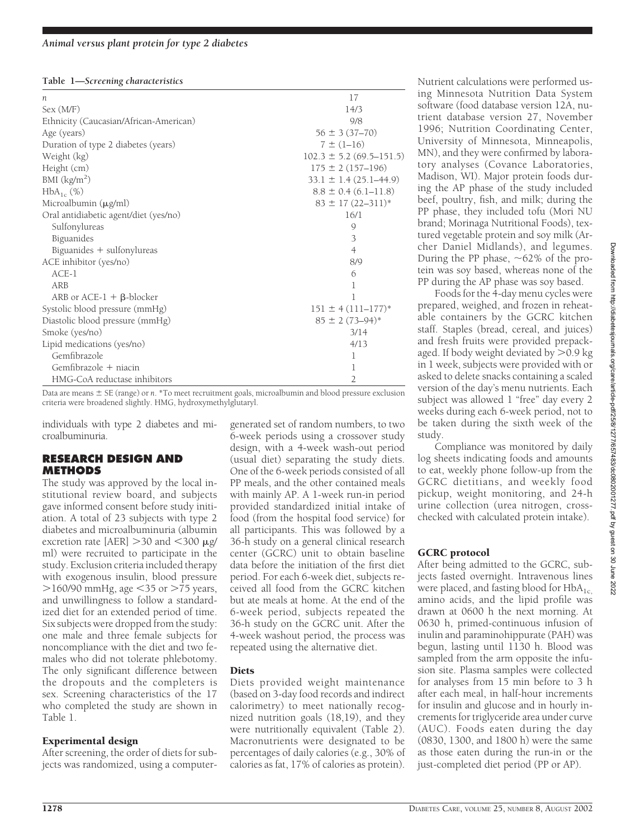#### **Table 1—***Screening characteristics*

| $\boldsymbol{n}$                       | 17                           |  |  |
|----------------------------------------|------------------------------|--|--|
| Sex (M/F)                              | 14/3                         |  |  |
| Ethnicity (Caucasian/African-American) | 9/8                          |  |  |
| Age (years)                            | $56 \pm 3(37-70)$            |  |  |
| Duration of type 2 diabetes (years)    | $7 \pm (1 - 16)$             |  |  |
| Weight (kg)                            | $102.3 \pm 5.2$ (69.5–151.5) |  |  |
| Height (cm)                            | $175 \pm 2(157 - 196)$       |  |  |
| BMI (kg/m <sup>2</sup> )               | $33.1 \pm 1.4 (25.1 - 44.9)$ |  |  |
| $HbA_{1c}$ (%)                         | $8.8 \pm 0.4$ (6.1–11.8)     |  |  |
| Microalbumin (µg/ml)                   | $83 \pm 17 (22 - 311)^*$     |  |  |
| Oral antidiabetic agent/diet (yes/no)  | 16/1                         |  |  |
| Sulfonylureas                          | 9                            |  |  |
| Biguanides                             | 3                            |  |  |
| Biguanides + sulfonylureas             | $\overline{4}$               |  |  |
| ACE inhibitor (yes/no)                 | 8/9                          |  |  |
| $ACE-1$                                | 6                            |  |  |
| ARB                                    | 1                            |  |  |
| ARB or ACE-1 $+$ $\beta$ -blocker      | 1                            |  |  |
| Systolic blood pressure (mmHg)         | $151 \pm 4(111 - 177)^*$     |  |  |
| Diastolic blood pressure (mmHg)        | $85 \pm 2(73 - 94)^*$        |  |  |
| Smoke (yes/no)                         | 3/14                         |  |  |
| Lipid medications (yes/no)             | 4/13                         |  |  |
| Gemfibrazole                           | 1                            |  |  |
| Gemfibrazole + niacin                  | 1                            |  |  |
| HMG-CoA reductase inhibitors           | $\overline{2}$               |  |  |

Data are means  $\pm$  SE (range) or *n*. \*To meet recruitment goals, microalbumin and blood pressure exclusion criteria were broadened slightly. HMG, hydroxymethylglutaryl.

individuals with type 2 diabetes and microalbuminuria.

#### **RESEARCH DESIGN AND METHODS**

The study was approved by the local institutional review board, and subjects gave informed consent before study initiation. A total of 23 subjects with type 2 diabetes and microalbuminuria (albumin excretion rate [AER]  $>$ 30 and  $<$ 300  $\mu$ g/ ml) were recruited to participate in the study. Exclusion criteria included therapy with exogenous insulin, blood pressure  $>$ 160/90 mmHg, age  $<$ 35 or  $>$ 75 years, and unwillingness to follow a standardized diet for an extended period of time. Six subjects were dropped from the study: one male and three female subjects for noncompliance with the diet and two females who did not tolerate phlebotomy. The only significant difference between the dropouts and the completers is sex. Screening characteristics of the 17 who completed the study are shown in Table 1.

#### Experimental design

After screening, the order of diets for subjects was randomized, using a computer-

generated set of random numbers, to two 6-week periods using a crossover study design, with a 4-week wash-out period (usual diet) separating the study diets. One of the 6-week periods consisted of all PP meals, and the other contained meals with mainly AP. A 1-week run-in period provided standardized initial intake of food (from the hospital food service) for all participants. This was followed by a 36-h study on a general clinical research center (GCRC) unit to obtain baseline data before the initiation of the first diet period. For each 6-week diet, subjects received all food from the GCRC kitchen but ate meals at home. At the end of the 6-week period, subjects repeated the 36-h study on the GCRC unit. After the 4-week washout period, the process was repeated using the alternative diet.

# **Diets**

Diets provided weight maintenance (based on 3-day food records and indirect calorimetry) to meet nationally recognized nutrition goals (18,19), and they were nutritionally equivalent (Table 2). Macronutrients were designated to be percentages of daily calories (e.g., 30% of calories as fat, 17% of calories as protein).

Nutrient calculations were performed using Minnesota Nutrition Data System software (food database version 12A, nutrient database version 27, November 1996; Nutrition Coordinating Center, University of Minnesota, Minneapolis, MN), and they were confirmed by laboratory analyses (Covance Laboratories, Madison, WI). Major protein foods during the AP phase of the study included beef, poultry, fish, and milk; during the PP phase, they included tofu (Mori NU brand; Morinaga Nutritional Foods), textured vegetable protein and soy milk (Archer Daniel Midlands), and legumes. During the PP phase,  $\sim 62\%$  of the protein was soy based, whereas none of the PP during the AP phase was soy based.

Foods for the 4-day menu cycles were prepared, weighed, and frozen in reheatable containers by the GCRC kitchen staff. Staples (bread, cereal, and juices) and fresh fruits were provided prepackaged. If body weight deviated by  $>$  0.9 kg in 1 week, subjects were provided with or asked to delete snacks containing a scaled version of the day's menu nutrients. Each subject was allowed 1 "free" day every 2 weeks during each 6-week period, not to be taken during the sixth week of the study.

Compliance was monitored by daily log sheets indicating foods and amounts to eat, weekly phone follow-up from the GCRC dietitians, and weekly food pickup, weight monitoring, and 24-h urine collection (urea nitrogen, crosschecked with calculated protein intake).

# GCRC protocol

After being admitted to the GCRC, subjects fasted overnight. Intravenous lines were placed, and fasting blood for  $HbA_{1c}$ amino acids, and the lipid profile was drawn at 0600 h the next morning. At 0630 h, primed-continuous infusion of inulin and paraminohippurate (PAH) was begun, lasting until 1130 h. Blood was sampled from the arm opposite the infusion site. Plasma samples were collected for analyses from 15 min before to 3 h after each meal, in half-hour increments for insulin and glucose and in hourly increments for triglyceride area under curve (AUC). Foods eaten during the day (0830, 1300, and 1800 h) were the same as those eaten during the run-in or the just-completed diet period (PP or AP).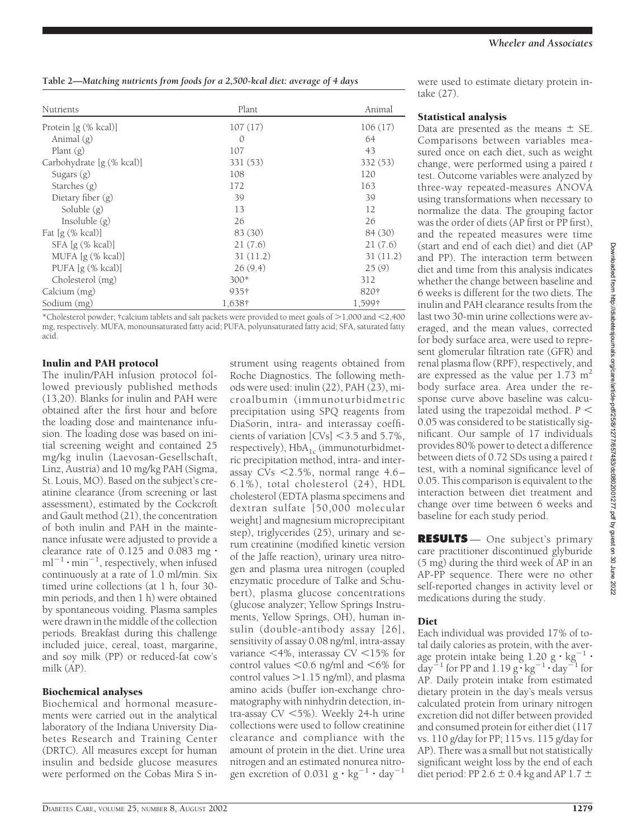**Table 2—***Matching nutrients from foods for a 2,500-kcal diet: average of 4 days*

| Nutrients                 | Plant    | Animal   |  |
|---------------------------|----------|----------|--|
| Protein [g (% kcal)]      | 107(17)  | 106(17)  |  |
| Animal $(g)$              | $\Omega$ | 64       |  |
| Plant $(g)$               | 107      | 43       |  |
| Carbohydrate [g (% kcal)] | 331 (53) | 332 (53) |  |
| Sugars $(g)$              | 108      | 120      |  |
| Starches $(g)$            | 172      | 163      |  |
| Dietary fiber $(g)$       | 39       | 39       |  |
| Soluble $(g)$             | 13       | 12       |  |
| Insoluble $(g)$           | 26       | 26       |  |
| Fat $[g (% kcal)]$        | 83 (30)  | 84 (30)  |  |
| $SFA[g(\% \text{ kcal})]$ | 21(7.6)  | 21(7.6)  |  |
| MUFA $[g (% kcal)]$       | 31(11.2) | 31(11.2) |  |
| PUFA $[g (% kcal)]$       | 26(9.4)  | 25(9)    |  |
| Cholesterol (mg)          | $300*$   | 312      |  |
| Calcium (mg)              | 935†     | 820†     |  |
| Sodium (mg)               | 1,638†   | 1,599†   |  |

\*Cholesterol powder; †calcium tablets and salt packets were provided to meet goals of  $>$ 1,000 and  $<$ 2,400 mg, respectively. MUFA, monounsaturated fatty acid; PUFA, polyunsaturated fatty acid; SFA, saturated fatty acid.

#### Inulin and PAH protocol

The inulin/PAH infusion protocol followed previously published methods (13,20). Blanks for inulin and PAH were obtained after the first hour and before the loading dose and maintenance infusion. The loading dose was based on initial screening weight and contained 25 mg/kg inulin (Laevosan-Gesellschaft, Linz, Austria) and 10 mg/kg PAH (Sigma, St. Louis, MO). Based on the subject's creatinine clearance (from screening or last assessment), estimated by the Cockcroft and Gault method (21), the concentration of both inulin and PAH in the maintenance infusate were adjusted to provide a clearance rate of 0.125 and 0.083 mg $\cdot$  $ml^{-1} \cdot min^{-1}$ , respectively, when infused continuously at a rate of 1.0 ml/min. Six timed urine collections (at 1 h, four 30 min periods, and then 1 h) were obtained by spontaneous voiding. Plasma samples were drawn in the middle of the collection periods. Breakfast during this challenge included juice, cereal, toast, margarine, and soy milk (PP) or reduced-fat cow's milk (AP).

#### Biochemical analyses

Biochemical and hormonal measurements were carried out in the analytical laboratory of the Indiana University Diabetes Research and Training Center (DRTC). All measures except for human insulin and bedside glucose measures were performed on the Cobas Mira S instrument using reagents obtained from Roche Diagnostics. The following methods were used: inulin (22), PAH (23), microalbumin (immunoturbidmetric precipitation using SPQ reagents from DiaSorin, intra- and interassay coefficients of variation  $[CVs] < 3.5$  and  $5.7\%$ , respectively),  $HbA_{1c}$  (immunoturbidmetric precipitation method, intra- and interassay CVs 2.5%, normal range 4.6 – 6.1%), total cholesterol (24), HDL cholesterol (EDTA plasma specimens and dextran sulfate [50,000 molecular weight] and magnesium microprecipitant step), triglycerides (25), urinary and serum creatinine (modified kinetic version of the Jaffe reaction), urinary urea nitrogen and plasma urea nitrogen (coupled enzymatic procedure of Talke and Schubert), plasma glucose concentrations (glucose analyzer; Yellow Springs Instruments, Yellow Springs, OH), human insulin (double-antibody assay [26], sensitivity of assay 0.08 ng/ml, intra-assay variance  $\leq 4\%$ , interassay CV  $\leq 15\%$  for control values  $<$  0.6 ng/ml and  $<$  6% for control values  $>1.15$  ng/ml), and plasma amino acids (buffer ion-exchange chromatography with ninhydrin detection, intra-assay CV 5%). Weekly 24-h urine collections were used to follow creatinine clearance and compliance with the amount of protein in the diet. Urine urea nitrogen and an estimated nonurea nitrogen excretion of 0.031 g  $\cdot$  kg<sup>-1</sup>  $\cdot$  day<sup>-1</sup>

were used to estimate dietary protein intake (27).

### Statistical analysis

Data are presented as the means  $\pm$  SE. Comparisons between variables measured once on each diet, such as weight change, were performed using a paired *t* test. Outcome variables were analyzed by three-way repeated-measures ANOVA using transformations when necessary to normalize the data. The grouping factor was the order of diets (AP first or PP first), and the repeated measures were time (start and end of each diet) and diet (AP and PP). The interaction term between diet and time from this analysis indicates whether the change between baseline and 6 weeks is different for the two diets. The inulin and PAH clearance results from the last two 30-min urine collections were averaged, and the mean values, corrected for body surface area, were used to represent glomerular filtration rate (GFR) and renal plasma flow (RPF), respectively, and are expressed as the value per  $1.73 \text{ m}^2$ body surface area. Area under the response curve above baseline was calculated using the trapezoidal method. *P* 0.05 was considered to be statistically significant. Our sample of 17 individuals provides 80% power to detect a difference between diets of 0.72 SDs using a paired *t* test, with a nominal significance level of 0.05. This comparison is equivalent to the interaction between diet treatment and change over time between 6 weeks and baseline for each study period.

**RESULTS** — One subject's primary care practitioner discontinued glyburide (5 mg) during the third week of AP in an AP-PP sequence. There were no other self-reported changes in activity level or medications during the study.

# Diet

Each individual was provided 17% of total daily calories as protein, with the average protein intake being  $1.20 \text{ g} \cdot \text{kg}^{-1}$ .  $day^{-1}$  for PP and 1.19  $g \cdot kg^{-1} \cdot day^{-1}$  for AP. Daily protein intake from estimated dietary protein in the day's meals versus calculated protein from urinary nitrogen excretion did not differ between provided and consumed protein for either diet (117 vs. 110 g/day for PP; 115 vs. 115 g/day for AP). There was a small but not statistically significant weight loss by the end of each diet period: PP 2.6  $\pm$  0.4 kg and AP 1.7  $\pm$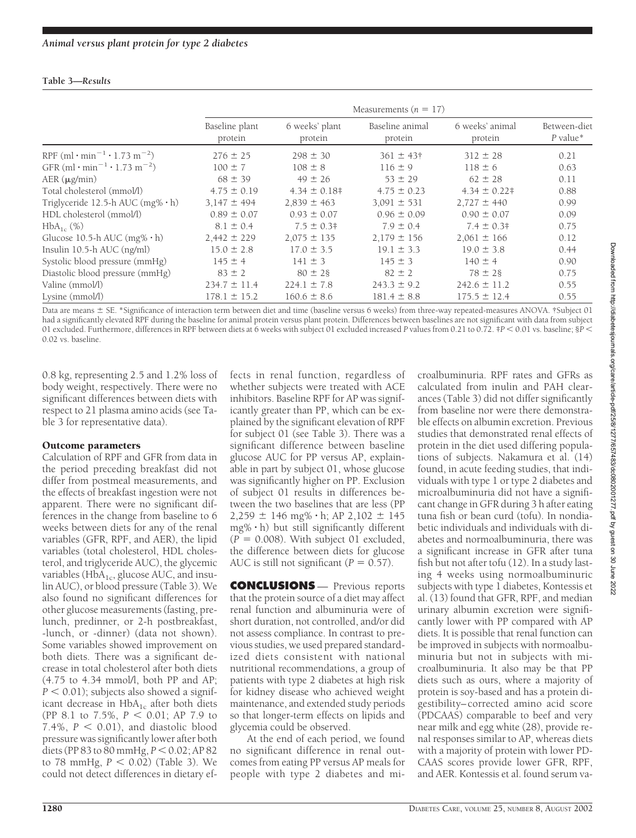#### **Table 3—***Results*

|                                                                  | Measurements $(n = 17)$   |                           |                            |                            |                            |  |  |
|------------------------------------------------------------------|---------------------------|---------------------------|----------------------------|----------------------------|----------------------------|--|--|
|                                                                  | Baseline plant<br>protein | 6 weeks' plant<br>protein | Baseline animal<br>protein | 6 weeks' animal<br>protein | Between-diet<br>$P$ value* |  |  |
| RPF (ml $\cdot$ min <sup>-1</sup> $\cdot$ 1.73 m <sup>-2</sup> ) | $276 \pm 25$              | $298 \pm 30$              | $361 \pm 43$ †             | $312 \pm 28$               | 0.21                       |  |  |
| GFR $(ml \cdot min^{-1} \cdot 1.73 \, m^{-2})$                   | $100 \pm 7$               | $108 \pm 8$               | $116 \pm 9$                | $118 \pm 6$                | 0.63                       |  |  |
| $AER(\mu g/min)$                                                 | $68 \pm 39$               | $49 \pm 26$               | $53 \pm 29$                | $62 \pm 28$                | 0.11                       |  |  |
| Total cholesterol (mmol/l)                                       | $4.75 \pm 0.19$           | $4.34 \pm 0.18$ #         | $4.75 \pm 0.23$            | $4.34 \pm 0.22$ #          | 0.88                       |  |  |
| Triglyceride 12.5-h AUC (mg% · h)                                | $3,147 \pm 494$           | $2,839 \pm 463$           | $3,091 \pm 531$            | $2,727 \pm 440$            | 0.99                       |  |  |
| HDL cholesterol (mmol/l)                                         | $0.89 \pm 0.07$           | $0.93 \pm 0.07$           | $0.96 \pm 0.09$            | $0.90 \pm 0.07$            | 0.09                       |  |  |
| $HbA_{1c}$ (%)                                                   | $8.1 \pm 0.4$             | $7.5 \pm 0.3$ #           | $7.9 \pm 0.4$              | $7.4 \pm 0.3$ #            | 0.75                       |  |  |
| Glucose 10.5-h AUC $(mg\% \cdot h)$                              | $2,442 \pm 229$           | $2,075 \pm 135$           | $2,179 \pm 156$            | $2,061 \pm 166$            | 0.12                       |  |  |
| Insulin 10.5-h AUC (ng/ml)                                       | $15.0 \pm 2.8$            | $17.0 \pm 3.5$            | $19.1 \pm 3.3$             | $19.0 \pm 3.8$             | 0.44                       |  |  |
| Systolic blood pressure (mmHg)                                   | $145 \pm 4$               | $141 \pm 3$               | $145 \pm 3$                | $140 \pm 4$                | 0.90                       |  |  |
| Diastolic blood pressure (mmHg)                                  | $83 \pm 2$                | $80 \pm 28$               | $82 \pm 2$                 | $78 \pm 28$                | 0.75                       |  |  |
| Valine (mmol/l)                                                  | $234.7 \pm 11.4$          | $224.1 \pm 7.8$           | $243.3 \pm 9.2$            | $242.6 \pm 11.2$           | 0.55                       |  |  |
| Lysine (mmol/l)                                                  | $178.1 \pm 15.2$          | $160.6 \pm 8.6$           | $181.4 \pm 8.8$            | $175.5 \pm 12.4$           | 0.55                       |  |  |

Data are means  $\pm$  SE. \*Significance of interaction term between diet and time (baseline versus 6 weeks) from three-way repeated-measures ANOVA. †Subject 01 had a significantly elevated RPF during the baseline for animal protein versus plant protein. Differences between baselines are not significant with data from subject 01 excluded. Furthermore, differences in RPF between diets at 6 weeks with subject 01 excluded increased *P* values from 0.21 to 0.72. ‡*P* 0.01 vs. baseline; §*P* 0.02 vs. baseline.

0.8 kg, representing 2.5 and 1.2% loss of body weight, respectively. There were no significant differences between diets with respect to 21 plasma amino acids (see Table 3 for representative data).

#### Outcome parameters

Calculation of RPF and GFR from data in the period preceding breakfast did not differ from postmeal measurements, and the effects of breakfast ingestion were not apparent. There were no significant differences in the change from baseline to 6 weeks between diets for any of the renal variables (GFR, RPF, and AER), the lipid variables (total cholesterol, HDL cholesterol, and triglyceride AUC), the glycemic variables ( $HbA_{1c}$ , glucose AUC, and insulin AUC), or blood pressure (Table 3). We also found no significant differences for other glucose measurements (fasting, prelunch, predinner, or 2-h postbreakfast, -lunch, or -dinner) (data not shown). Some variables showed improvement on both diets. There was a significant decrease in total cholesterol after both diets (4.75 to 4.34 mmol/l, both PP and AP;  $P < 0.01$ ); subjects also showed a significant decrease in  $HbA_{1c}$  after both diets (PP 8.1 to 7.5%, *P* 0.01; AP 7.9 to 7.4%,  $P < 0.01$ ), and diastolic blood pressure was significantly lower after both diets (PP 83 to 80 mmHg,  $P < 0.02$ ; AP 82 to 78 mmHg,  $P < 0.02$ ) (Table 3). We could not detect differences in dietary effects in renal function, regardless of whether subjects were treated with ACE inhibitors. Baseline RPF for AP was significantly greater than PP, which can be explained by the significant elevation of RPF for subject 01 (see Table 3). There was a significant difference between baseline glucose AUC for PP versus AP, explainable in part by subject 01, whose glucose was significantly higher on PP. Exclusion of subject 01 results in differences between the two baselines that are less (PP  $2,259 \pm 146$  mg%  $\cdot$  h; AP 2,102  $\pm$  145  $mg\% \cdot h$ ) but still significantly different  $(P = 0.008)$ . With subject 01 excluded, the difference between diets for glucose AUC is still not significant ( $P = 0.57$ ).

**CONCLUSIONS** — Previous reports that the protein source of a diet may affect renal function and albuminuria were of short duration, not controlled, and/or did not assess compliance. In contrast to previous studies, we used prepared standardized diets consistent with national nutritional recommendations, a group of patients with type 2 diabetes at high risk for kidney disease who achieved weight maintenance, and extended study periods so that longer-term effects on lipids and glycemia could be observed.

At the end of each period, we found no significant difference in renal outcomes from eating PP versus AP meals for people with type 2 diabetes and microalbuminuria. RPF rates and GFRs as calculated from inulin and PAH clearances (Table 3) did not differ significantly from baseline nor were there demonstrable effects on albumin excretion. Previous studies that demonstrated renal effects of protein in the diet used differing populations of subjects. Nakamura et al. (14) found, in acute feeding studies, that individuals with type 1 or type 2 diabetes and microalbuminuria did not have a significant change in GFR during 3 h after eating tuna fish or bean curd (tofu). In nondiabetic individuals and individuals with diabetes and normoalbuminuria, there was a significant increase in GFR after tuna fish but not after tofu (12). In a study lasting 4 weeks using normoalbuminuric subjects with type 1 diabetes, Kontessis et al. (13) found that GFR, RPF, and median urinary albumin excretion were significantly lower with PP compared with AP diets. It is possible that renal function can be improved in subjects with normoalbuminuria but not in subjects with microalbuminuria. It also may be that PP diets such as ours, where a majority of protein is soy-based and has a protein digestibility– corrected amino acid score (PDCAAS) comparable to beef and very near milk and egg white (28), provide renal responses similar to AP, whereas diets with a majority of protein with lower PD-CAAS scores provide lower GFR, RPF, and AER. Kontessis et al. found serum va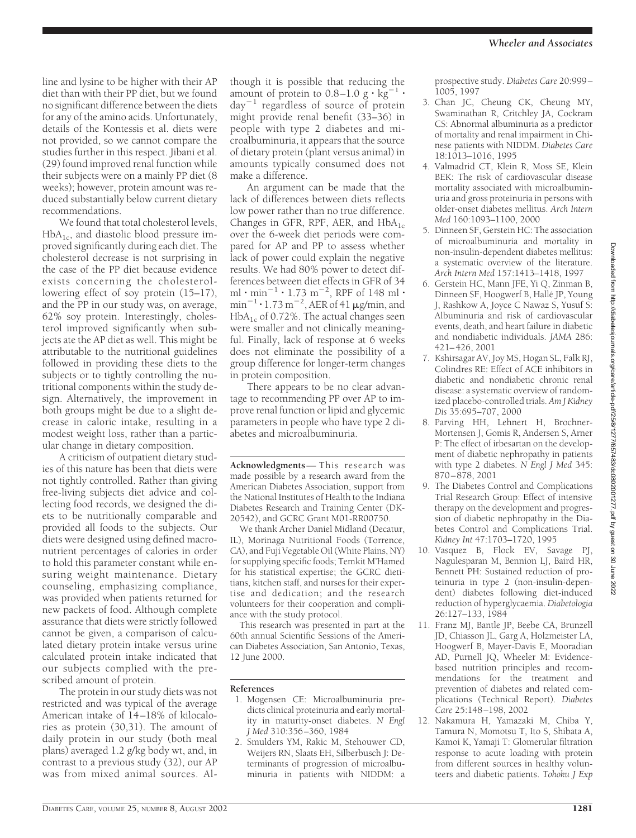line and lysine to be higher with their AP diet than with their PP diet, but we found no significant difference between the diets for any of the amino acids. Unfortunately, details of the Kontessis et al. diets were not provided, so we cannot compare the studies further in this respect. Jibani et al. (29) found improved renal function while their subjects were on a mainly PP diet (8 weeks); however, protein amount was reduced substantially below current dietary recommendations.

We found that total cholesterol levels,  $HbA<sub>1c</sub>$ , and diastolic blood pressure improved significantly during each diet. The cholesterol decrease is not surprising in the case of the PP diet because evidence exists concerning the cholesterollowering effect of soy protein (15–17), and the PP in our study was, on average, 62% soy protein. Interestingly, cholesterol improved significantly when subjects ate the AP diet as well. This might be attributable to the nutritional guidelines followed in providing these diets to the subjects or to tightly controlling the nutritional components within the study design. Alternatively, the improvement in both groups might be due to a slight decrease in caloric intake, resulting in a modest weight loss, rather than a particular change in dietary composition.

A criticism of outpatient dietary studies of this nature has been that diets were not tightly controlled. Rather than giving free-living subjects diet advice and collecting food records, we designed the diets to be nutritionally comparable and provided all foods to the subjects. Our diets were designed using defined macronutrient percentages of calories in order to hold this parameter constant while ensuring weight maintenance. Dietary counseling, emphasizing compliance, was provided when patients returned for new packets of food. Although complete assurance that diets were strictly followed cannot be given, a comparison of calculated dietary protein intake versus urine calculated protein intake indicated that our subjects complied with the prescribed amount of protein.

The protein in our study diets was not restricted and was typical of the average American intake of 14–18% of kilocalories as protein (30,31). The amount of daily protein in our study (both meal plans) averaged 1.2 g/kg body wt, and, in contrast to a previous study (32), our AP was from mixed animal sources. Although it is possible that reducing the amount of protein to  $0.8-1.0 \text{ g} \cdot \text{kg}^{-1}$ . day-<sup>1</sup> regardless of source of protein might provide renal benefit (33–36) in people with type 2 diabetes and microalbuminuria, it appears that the source of dietary protein (plant versus animal) in amounts typically consumed does not make a difference.

An argument can be made that the lack of differences between diets reflects low power rather than no true difference. Changes in GFR, RPF, AER, and  $HbA_{1c}$ over the 6-week diet periods were compared for AP and PP to assess whether lack of power could explain the negative results. We had 80% power to detect differences between diet effects in GFR of 34  $\text{ml}\cdot \text{min}^{-1}\cdot 1.73 \text{ m}^{-2}$ , RPF of 148 ml·  $min^{-1}$  · 1.73  $m^{-2}$ , AER of 41 µg/min, and  $HbA<sub>1c</sub>$  of 0.72%. The actual changes seen were smaller and not clinically meaningful. Finally, lack of response at 6 weeks does not eliminate the possibility of a group difference for longer-term changes in protein composition.

There appears to be no clear advantage to recommending PP over AP to improve renal function or lipid and glycemic parameters in people who have type 2 diabetes and microalbuminuria.

**Acknowledgments**— This research was made possible by a research award from the American Diabetes Association, support from the National Institutes of Health to the Indiana Diabetes Research and Training Center (DK-20542), and GCRC Grant M01-RR00750.

We thank Archer Daniel Midland (Decatur, IL), Morinaga Nutritional Foods (Torrence, CA), and Fuji Vegetable Oil (White Plains, NY) for supplying specific foods; Temkit M'Hamed for his statistical expertise; the GCRC dietitians, kitchen staff, and nurses for their expertise and dedication; and the research volunteers for their cooperation and compliance with the study protocol.

This research was presented in part at the 60th annual Scientific Sessions of the American Diabetes Association, San Antonio, Texas, 12 June 2000.

#### **References**

- 1. Mogensen CE: Microalbuminuria predicts clinical proteinuria and early mortality in maturity-onset diabetes. *N Engl J Med* 310:356–360, 1984
- 2. Smulders YM, Rakic M, Stehouwer CD, Weijers RN, Slaats EH, Silberbusch J: Determinants of progression of microalbuminuria in patients with NIDDM: a

prospective study. *Diabetes Care* 20:999– 1005, 1997

- 3. Chan JC, Cheung CK, Cheung MY, Swaminathan R, Critchley JA, Cockram CS: Abnormal albuminuria as a predictor of mortality and renal impairment in Chinese patients with NIDDM. *Diabetes Care* 18:1013–1016, 1995
- 4. Valmadrid CT, Klein R, Moss SE, Klein BEK: The risk of cardiovascular disease mortality associated with microalbuminuria and gross proteinuria in persons with older-onset diabetes mellitus. *Arch Intern Med* 160:1093–1100, 2000
- 5. Dinneen SF, Gerstein HC: The association of microalbuminuria and mortality in non-insulin-dependent diabetes mellitus: a systematic overview of the literature. *Arch Intern Med* 157:1413–1418, 1997
- 6. Gerstein HC, Mann JFE, Yi Q, Zinman B, Dinneen SF, Hoogwerf B, Hallé JP, Young J, Rashkow A, Joyce C Nawaz S, Yusuf S: Albuminuria and risk of cardiovascular events, death, and heart failure in diabetic and nondiabetic individuals. *JAMA* 286: 421–426, 2001
- 7. Kshirsagar AV, Joy MS, Hogan SL, Falk RJ, Colindres RE: Effect of ACE inhibitors in diabetic and nondiabetic chronic renal disease: a systematic overview of randomized placebo-controlled trials. *Am J Kidney Dis* 35:695–707, 2000
- 8. Parving HH, Lehnert H, Brochner-Mortensen J, Gomis R, Andersen S, Arner P: The effect of irbesartan on the development of diabetic nephropathy in patients with type 2 diabetes. *N Engl J Med* 345: 870–878, 2001
- 9. The Diabetes Control and Complications Trial Research Group: Effect of intensive therapy on the development and progression of diabetic nephropathy in the Diabetes Control and Complications Trial. *Kidney Int* 47:1703–1720, 1995
- 10. Vasquez B, Flock EV, Savage PJ, Nagulesparan M, Bennion LJ, Baird HR, Bennett PH: Sustained reduction of proteinuria in type 2 (non-insulin-dependent) diabetes following diet-induced reduction of hyperglycaemia. *Diabetologia* 26:127–133, 1984
- 11. Franz MJ, Bantle JP, Beebe CA, Brunzell JD, Chiasson JL, Garg A, Holzmeister LA, Hoogwerf B, Mayer-Davis E, Mooradian AD, Purnell JQ, Wheeler M: Evidencebased nutrition principles and recommendations for the treatment and prevention of diabetes and related complications (Technical Report). *Diabetes Care* 25:148–198, 2002
- 12. Nakamura H, Yamazaki M, Chiba Y, Tamura N, Momotsu T, Ito S, Shibata A, Kamoi K, Yamaji T: Glomerular filtration response to acute loading with protein from different sources in healthy volunteers and diabetic patients. *Tohoku J Exp*